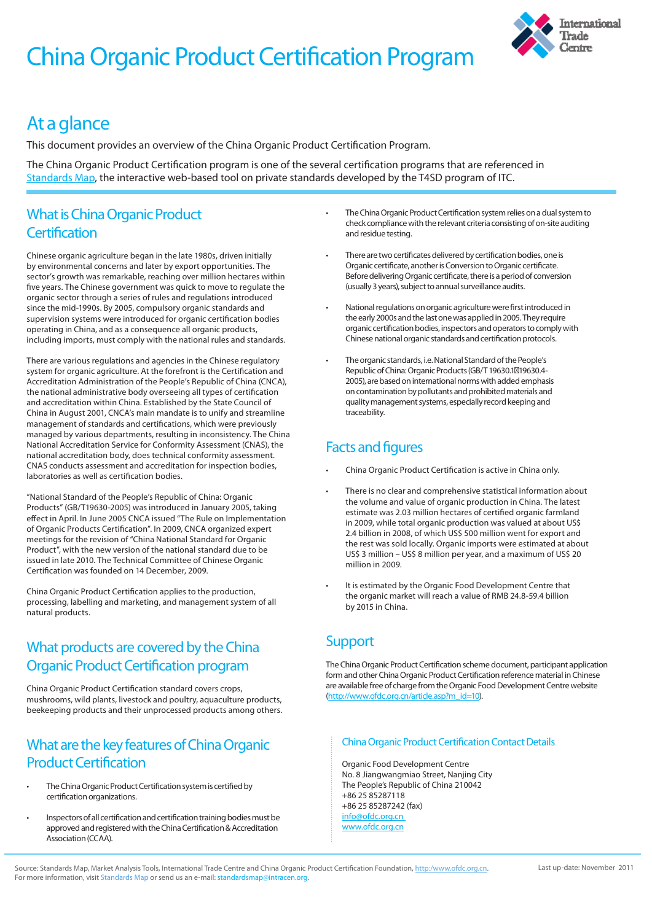## China Organic Product Certification Program



### At a glance

This document provides an overview of the China Organic Product Certification Program.

The China Organic Product Certification program is one of the several certification programs that are referenced in Standards Map, the interactive web-based tool on private standards developed by the T4SD program of ITC.

### What is China Organic Product **Certification**

Chinese organic agriculture began in the late 1980s, driven initially by environmental concerns and later by export opportunities. The sector's growth was remarkable, reaching over million hectares within five years. The Chinese government was quick to move to regulate the organic sector through a series of rules and regulations introduced since the mid-1990s. By 2005, compulsory organic standards and supervision systems were introduced for organic certification bodies operating in China, and as a consequence all organic products, including imports, must comply with the national rules and standards.

There are various regulations and agencies in the Chinese regulatory system for organic agriculture. At the forefront is the Certification and Accreditation Administration of the People's Republic of China (CNCA), the national administrative body overseeing all types of certification and accreditation within China. Established by the State Council of China in August 2001, CNCA's main mandate is to unify and streamline management of standards and certifications, which were previously managed by various departments, resulting in inconsistency. The China National Accreditation Service for Conformity Assessment (CNAS), the national accreditation body, does technical conformity assessment. CNAS conducts assessment and accreditation for inspection bodies, laboratories as well as certification bodies.

"National Standard of the People's Republic of China: Organic Products" (GB/T19630-2005) was introduced in January 2005, taking effect in April. In June 2005 CNCA issued "The Rule on Implementation of Organic Products Certification". In 2009, CNCA organized expert meetings for the revision of "China National Standard for Organic Product", with the new version of the national standard due to be issued in late 2010. The Technical Committee of Chinese Organic Certification was founded on 14 December, 2009.

China Organic Product Certification applies to the production, processing, labelling and marketing, and management system of all natural products.

#### What products are covered by the China Organic Product Certification program

China Organic Product Certification standard covers crops, mushrooms, wild plants, livestock and poultry, aquaculture products, beekeeping products and their unprocessed products among others.

#### What are the key features of China Organic Product Certification

- The China Organic Product Certification system is certified by certification organizations.
- Inspectors of all certification and certification training bodies must be approved and registered with the China Certification & Accreditation Association (CCAA).
- The China Organic Product Certification system relies on a dual system to check compliance with the relevant criteria consisting of on-site auditing and residue testing.
- There are two certificates delivered by certification bodies, one is Organic certificate, another is Conversion to Organic certificate. Before delivering Organic certificate, there is a period of conversion (usually 3 years), subject to annual surveillance audits.
- National regulations on organic agriculture were first introduced in the early 2000s and the last one was applied in 2005. They require organic certification bodies, inspectors and operators to comply with Chinese national organic standards and certification protocols.
- The organic standards, i.e. National Standard of the People's Republic of China: Organic Products (GB/T 19630.1~19630.4- 2005), are based on international norms with added emphasis on contamination by pollutants and prohibited materials and quality management systems, especially record keeping and traceability.

### Facts and figures

- China Organic Product Certification is active in China only.
- There is no clear and comprehensive statistical information about the volume and value of organic production in China. The latest estimate was 2.03 million hectares of certified organic farmland in 2009, while total organic production was valued at about US\$ 2.4 billion in 2008, of which US\$ 500 million went for export and the rest was sold locally. Organic imports were estimated at about US\$ 3 million – US\$ 8 million per year, and a maximum of US\$ 20 million in 2009.
- It is estimated by the Organic Food Development Centre that the organic market will reach a value of RMB 24.8-59.4 billion by 2015 in China.

### **Support**

The China Organic Product Certification scheme document, participant application form and other China Organic Product Certification reference material in Chinese are available free of charge from the Organic Food Development Centre website (http://www.ofdc.org.cn/article.asp?m\_id=10).

#### China Organic Product Certification Contact Details

Organic Food Development Centre No. 8 Jiangwangmiao Street, Nanjing City The People's Republic of China 210042 +86 25 85287118 +86 25 85287242 (fax) info@ofdc.org.cn www.ofdc.org.cn